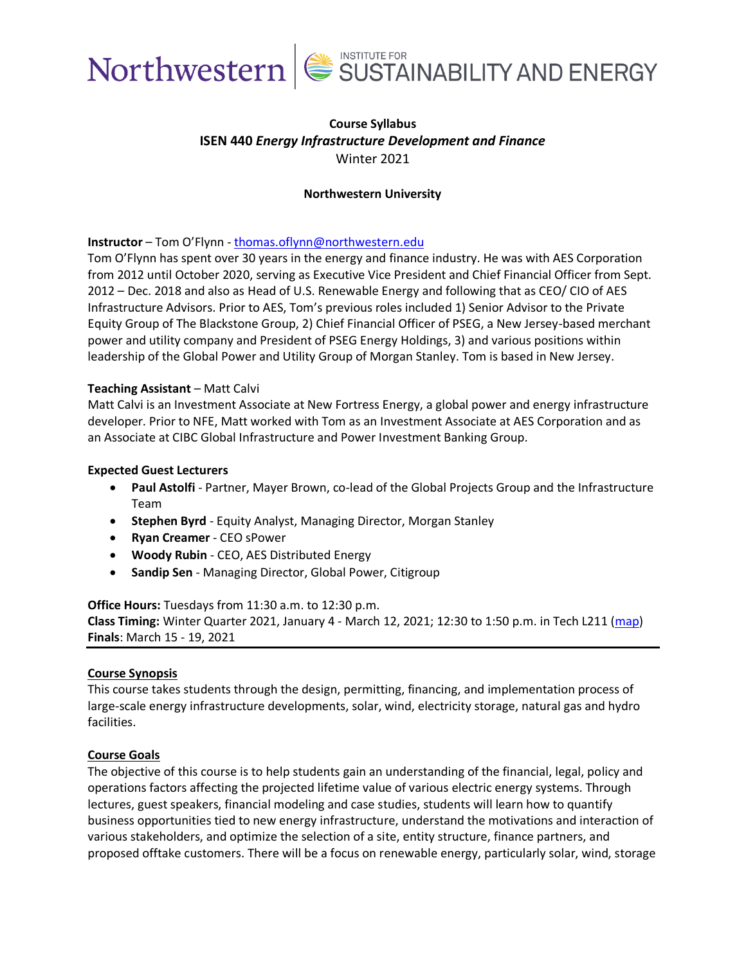



## **Course Syllabus ISEN 440** *Energy Infrastructure Development and Finance*  Winter 2021

### **Northwestern University**

### **Instructor** – Tom O'Flynn - [thomas.oflynn@northwestern.edu](mailto:thomas.oflynn@northwestern.edu)

Tom O'Flynn has spent over 30 years in the energy and finance industry. He was with AES Corporation from 2012 until October 2020, serving as Executive Vice President and Chief Financial Officer from Sept. 2012 – Dec. 2018 and also as Head of U.S. Renewable Energy and following that as CEO/ CIO of AES Infrastructure Advisors. Prior to AES, Tom's previous roles included 1) Senior Advisor to the Private Equity Group of The Blackstone Group, 2) Chief Financial Officer of PSEG, a New Jersey-based merchant power and utility company and President of PSEG Energy Holdings, 3) and various positions within leadership of the Global Power and Utility Group of Morgan Stanley. Tom is based in New Jersey.

### **Teaching Assistant** – Matt Calvi

Matt Calvi is an Investment Associate at New Fortress Energy, a global power and energy infrastructure developer. Prior to NFE, Matt worked with Tom as an Investment Associate at AES Corporation and as an Associate at CIBC Global Infrastructure and Power Investment Banking Group.

### **Expected Guest Lecturers**

- **Paul Astolfi** Partner, Mayer Brown, co-lead of the Global Projects Group and the Infrastructure Team
- **Stephen Byrd** Equity Analyst, Managing Director, Morgan Stanley
- **Ryan Creamer** CEO sPower
- **Woody Rubin** CEO, AES Distributed Energy
- **Sandip Sen** Managing Director, Global Power, Citigroup

**Office Hours:** Tuesdays from 11:30 a.m. to 12:30 p.m.

**Class Timing:** Winter Quarter 2021, January 4 - March 12, 2021; 12:30 to 1:50 p.m. in Tech L211 [\(map\)](https://www.mccormick.northwestern.edu/contact/tech-room-finder-map.php?id=L211&room-floor=2&room-id=792&room-ingress=) **Finals**: March 15 - 19, 2021

### **Course Synopsis**

This course takes students through the design, permitting, financing, and implementation process of large-scale energy infrastructure developments, solar, wind, electricity storage, natural gas and hydro facilities.

### **Course Goals**

The objective of this course is to help students gain an understanding of the financial, legal, policy and operations factors affecting the projected lifetime value of various electric energy systems. Through lectures, guest speakers, financial modeling and case studies, students will learn how to quantify business opportunities tied to new energy infrastructure, understand the motivations and interaction of various stakeholders, and optimize the selection of a site, entity structure, finance partners, and proposed offtake customers. There will be a focus on renewable energy, particularly solar, wind, storage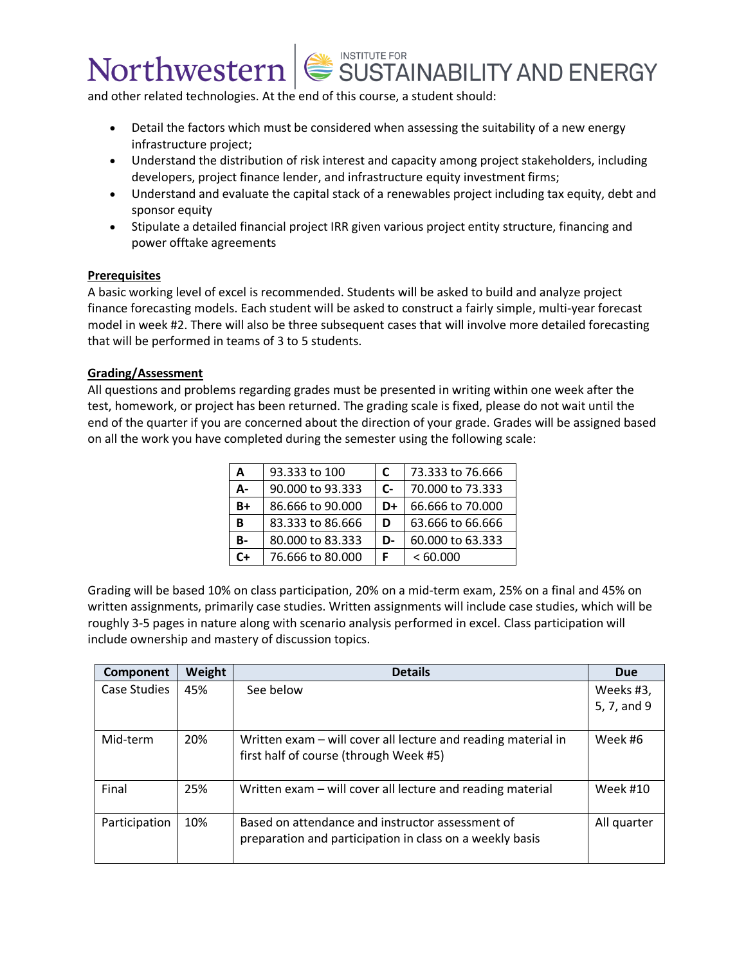and other related technologies. At the end of this course, a student should:

- Detail the factors which must be considered when assessing the suitability of a new energy infrastructure project;
- Understand the distribution of risk interest and capacity among project stakeholders, including developers, project finance lender, and infrastructure equity investment firms;
- Understand and evaluate the capital stack of a renewables project including tax equity, debt and sponsor equity
- Stipulate a detailed financial project IRR given various project entity structure, financing and power offtake agreements

### **Prerequisites**

A basic working level of excel is recommended. Students will be asked to build and analyze project finance forecasting models. Each student will be asked to construct a fairly simple, multi-year forecast model in week #2. There will also be three subsequent cases that will involve more detailed forecasting that will be performed in teams of 3 to 5 students.

### **Grading/Assessment**

All questions and problems regarding grades must be presented in writing within one week after the test, homework, or project has been returned. The grading scale is fixed, please do not wait until the end of the quarter if you are concerned about the direction of your grade. Grades will be assigned based on all the work you have completed during the semester using the following scale:

| A         | 93.333 to 100    |                      | 73.333 to 76.666 |
|-----------|------------------|----------------------|------------------|
| А-        | 90.000 to 93.333 | $\mathsf{C}\text{-}$ | 70.000 to 73.333 |
| B+        | 86.666 to 90.000 | D+                   | 66.666 to 70,000 |
| в         | 83.333 to 86.666 | D                    | 63.666 to 66.666 |
| <b>B-</b> | 80.000 to 83.333 | D-                   | 60.000 to 63.333 |
| C+        | 76.666 to 80.000 |                      | <60.000          |

Grading will be based 10% on class participation, 20% on a mid-term exam, 25% on a final and 45% on written assignments, primarily case studies. Written assignments will include case studies, which will be roughly 3-5 pages in nature along with scenario analysis performed in excel. Class participation will include ownership and mastery of discussion topics.

| <b>Component</b> | Weight | <b>Details</b>                                                | <b>Due</b>      |
|------------------|--------|---------------------------------------------------------------|-----------------|
| Case Studies     | 45%    | See below                                                     | Weeks #3,       |
|                  |        |                                                               | 5, 7, and 9     |
|                  |        |                                                               |                 |
| Mid-term         | 20%    | Written exam - will cover all lecture and reading material in | Week #6         |
|                  |        | first half of course (through Week #5)                        |                 |
|                  |        |                                                               |                 |
| Final            | 25%    | Written exam – will cover all lecture and reading material    | <b>Week #10</b> |
|                  |        |                                                               |                 |
| Participation    | 10%    | Based on attendance and instructor assessment of              | All quarter     |
|                  |        | preparation and participation in class on a weekly basis      |                 |
|                  |        |                                                               |                 |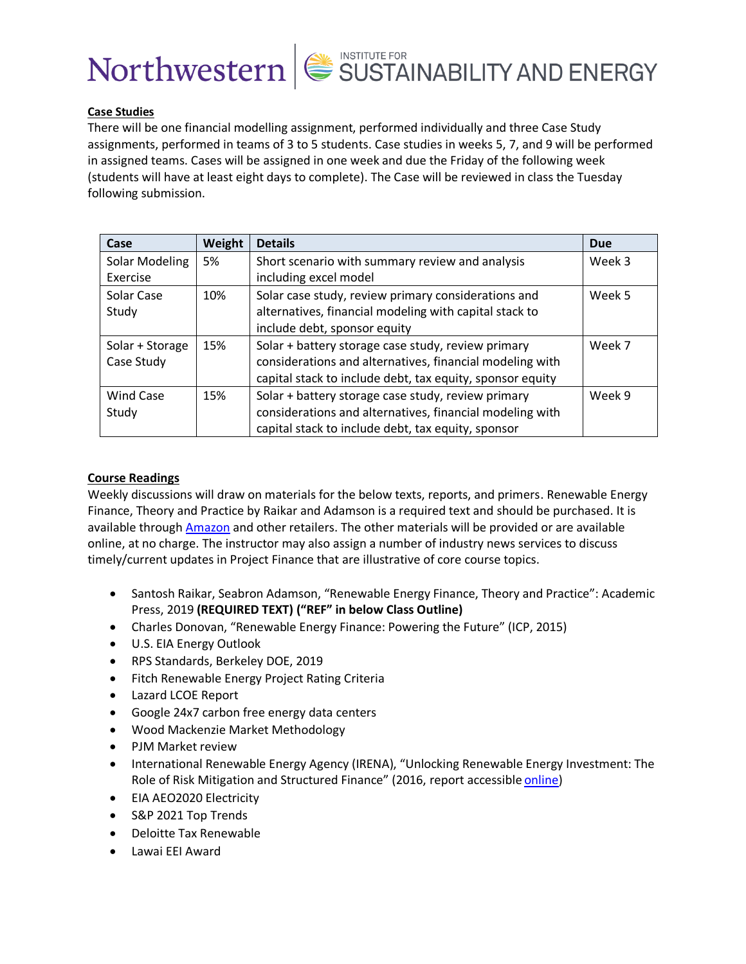



### **Case Studies**

There will be one financial modelling assignment, performed individually and three Case Study assignments, performed in teams of 3 to 5 students. Case studies in weeks 5, 7, and 9 will be performed in assigned teams. Cases will be assigned in one week and due the Friday of the following week (students will have at least eight days to complete). The Case will be reviewed in class the Tuesday following submission.

| Case             | Weight | <b>Details</b>                                            | <b>Due</b> |
|------------------|--------|-----------------------------------------------------------|------------|
| Solar Modeling   | 5%     | Short scenario with summary review and analysis           | Week 3     |
| Exercise         |        | including excel model                                     |            |
| Solar Case       | 10%    | Solar case study, review primary considerations and       | Week 5     |
| Study            |        | alternatives, financial modeling with capital stack to    |            |
|                  |        | include debt, sponsor equity                              |            |
| Solar + Storage  | 15%    | Solar + battery storage case study, review primary        | Week 7     |
| Case Study       |        | considerations and alternatives, financial modeling with  |            |
|                  |        | capital stack to include debt, tax equity, sponsor equity |            |
| <b>Wind Case</b> | 15%    | Solar + battery storage case study, review primary        | Week 9     |
| Study            |        | considerations and alternatives, financial modeling with  |            |
|                  |        | capital stack to include debt, tax equity, sponsor        |            |

### **Course Readings**

Weekly discussions will draw on materials for the below texts, reports, and primers. Renewable Energy Finance, Theory and Practice by Raikar and Adamson is a required text and should be purchased. It is available through [Amazon](file:///C:/Users/cww1056/AppData/Local/Microsoft/Windows/INetCache/Content.Outlook/XZYE98JJ/ohttps:/www.amazon.com/Renewable-Energy-Finance-Theory-Practice-ebook/dp/B084JGYD67/ref=sr_1_2?dchild=1&keywords=Renewable+Energy+Finance,+Theory+and+Practice&qid=1607451918&s=books&sr=1-2) and other retailers. The other materials will be provided or are available online, at no charge. The instructor may also assign a number of industry news services to discuss timely/current updates in Project Finance that are illustrative of core course topics.

- Santosh Raikar, Seabron Adamson, "Renewable Energy Finance, Theory and Practice": Academic Press, 2019 **(REQUIRED TEXT) ("REF" in below Class Outline)**
- Charles Donovan, "Renewable Energy Finance: Powering the Future" (ICP, 2015)
- U.S. EIA Energy Outlook
- RPS Standards, Berkeley DOE, 2019
- Fitch Renewable Energy Project Rating Criteria
- Lazard LCOE Report
- Google 24x7 carbon free energy data centers
- Wood Mackenzie Market Methodology
- PJM Market review
- International Renewable Energy Agency (IRENA), "Unlocking Renewable Energy Investment: The Role of Risk Mitigation and Structured Finance" (2016, report accessible [online\)](https://www.irena.org/-/media/Files/IRENA/Agency/Publication/2016/IRENA_Risk_Mitigation_and_Structured_Finance_2016.pdf)
- EIA AEO2020 Electricity
- S&P 2021 Top Trends
- Deloitte Tax Renewable
- Lawai EEI Award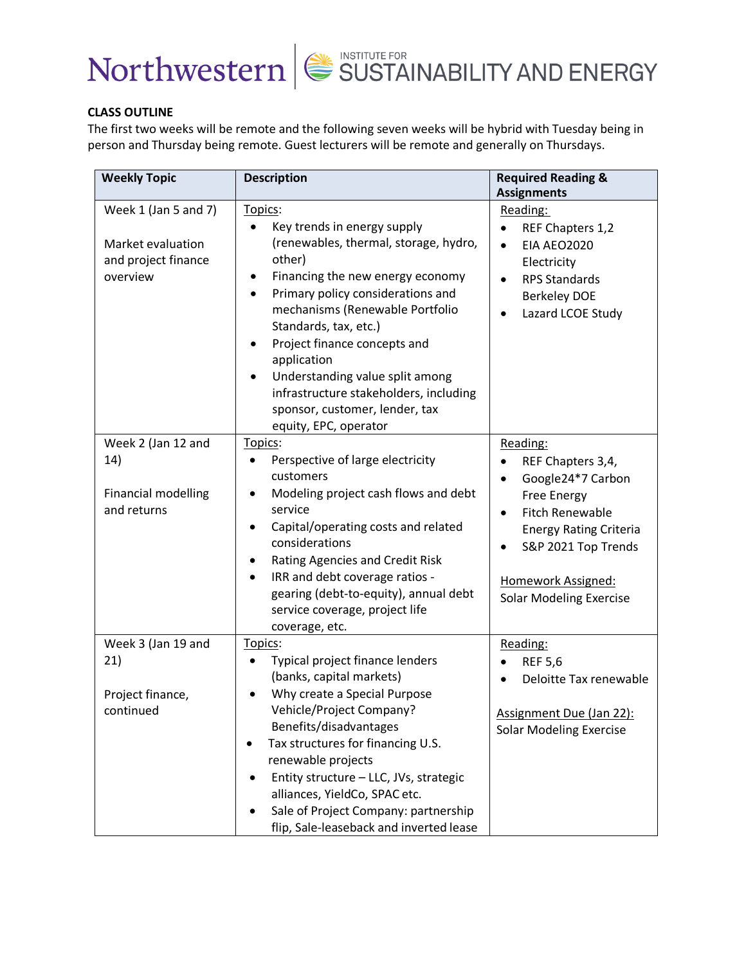



### **CLASS OUTLINE**

The first two weeks will be remote and the following seven weeks will be hybrid with Tuesday being in person and Thursday being remote. Guest lecturers will be remote and generally on Thursdays.

| <b>Weekly Topic</b>                                                          | <b>Description</b>                                                                                                                                                                                                                                                                                                                                                                                                                              | <b>Required Reading &amp;</b><br><b>Assignments</b>                                                                                                                                                                             |
|------------------------------------------------------------------------------|-------------------------------------------------------------------------------------------------------------------------------------------------------------------------------------------------------------------------------------------------------------------------------------------------------------------------------------------------------------------------------------------------------------------------------------------------|---------------------------------------------------------------------------------------------------------------------------------------------------------------------------------------------------------------------------------|
| Week 1 (Jan 5 and 7)<br>Market evaluation<br>and project finance<br>overview | Topics:<br>Key trends in energy supply<br>(renewables, thermal, storage, hydro,<br>other)<br>Financing the new energy economy<br>Primary policy considerations and<br>$\bullet$<br>mechanisms (Renewable Portfolio<br>Standards, tax, etc.)<br>Project finance concepts and<br>application<br>Understanding value split among<br>$\bullet$<br>infrastructure stakeholders, including<br>sponsor, customer, lender, tax<br>equity, EPC, operator | Reading:<br>REF Chapters 1,2<br><b>EIA AEO2020</b><br>$\bullet$<br>Electricity<br><b>RPS Standards</b><br><b>Berkeley DOE</b><br>Lazard LCOE Study                                                                              |
| Week 2 (Jan 12 and<br>14)<br><b>Financial modelling</b><br>and returns       | Topics:<br>Perspective of large electricity<br>customers<br>Modeling project cash flows and debt<br>service<br>Capital/operating costs and related<br>$\bullet$<br>considerations<br>Rating Agencies and Credit Risk<br>٠<br>IRR and debt coverage ratios -<br>$\bullet$<br>gearing (debt-to-equity), annual debt<br>service coverage, project life<br>coverage, etc.                                                                           | Reading:<br>REF Chapters 3,4,<br>Google24*7 Carbon<br>$\bullet$<br><b>Free Energy</b><br><b>Fitch Renewable</b><br><b>Energy Rating Criteria</b><br>S&P 2021 Top Trends<br>Homework Assigned:<br><b>Solar Modeling Exercise</b> |
| Week 3 (Jan 19 and<br>21)<br>Project finance,<br>continued                   | Topics:<br>Typical project finance lenders<br>$\bullet$<br>(banks, capital markets)<br>Why create a Special Purpose<br>Vehicle/Project Company?<br>Benefits/disadvantages<br>Tax structures for financing U.S.<br>٠<br>renewable projects<br>Entity structure - LLC, JVs, strategic<br>alliances, YieldCo, SPAC etc.<br>Sale of Project Company: partnership<br>flip, Sale-leaseback and inverted lease                                         | Reading:<br><b>REF 5,6</b><br>$\bullet$<br>Deloitte Tax renewable<br>Assignment Due (Jan 22):<br><b>Solar Modeling Exercise</b>                                                                                                 |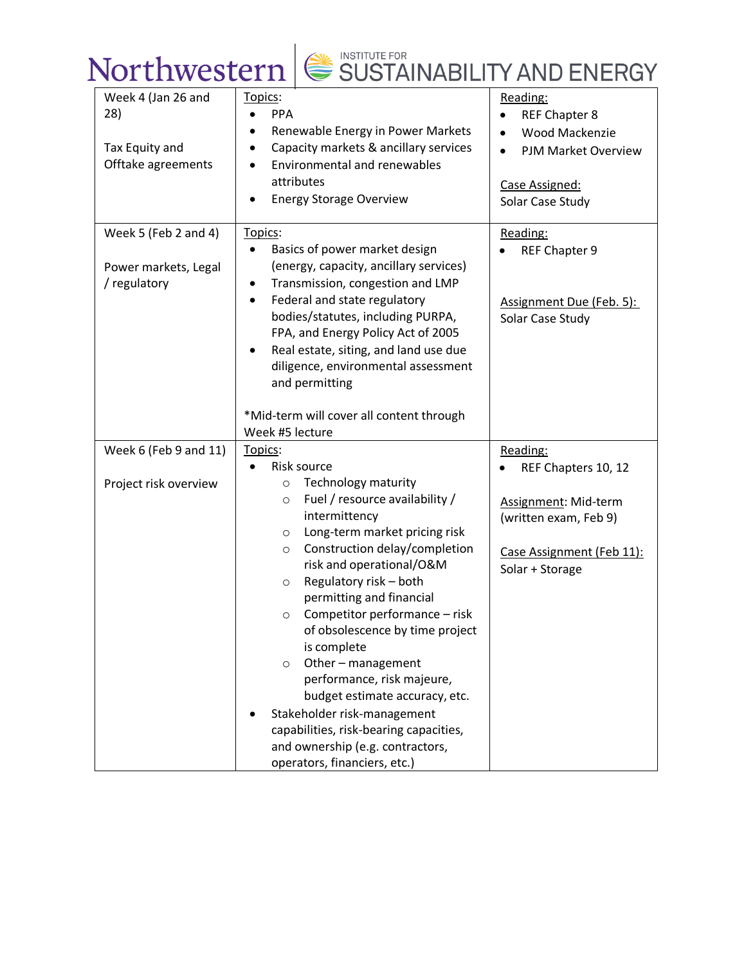| Week 4 (Jan 26 and<br>28)<br>Tax Equity and<br>Offtake agreements | Topics:<br><b>PPA</b><br>$\bullet$<br>Renewable Energy in Power Markets<br>$\bullet$<br>Capacity markets & ancillary services<br>$\bullet$<br><b>Environmental and renewables</b><br>$\bullet$<br>attributes<br><b>Energy Storage Overview</b>                                                                                                                                                                                                                                                  | Reading:<br><b>REF Chapter 8</b><br>$\bullet$<br><b>Wood Mackenzie</b><br><b>PJM Market Overview</b><br>$\bullet$<br>Case Assigned:<br>Solar Case Study |
|-------------------------------------------------------------------|-------------------------------------------------------------------------------------------------------------------------------------------------------------------------------------------------------------------------------------------------------------------------------------------------------------------------------------------------------------------------------------------------------------------------------------------------------------------------------------------------|---------------------------------------------------------------------------------------------------------------------------------------------------------|
| Week 5 (Feb 2 and 4)<br>Power markets, Legal<br>/ regulatory      | Topics:<br>Basics of power market design<br>(energy, capacity, ancillary services)<br>Transmission, congestion and LMP<br>Federal and state regulatory<br>$\bullet$<br>bodies/statutes, including PURPA,<br>FPA, and Energy Policy Act of 2005<br>Real estate, siting, and land use due<br>diligence, environmental assessment<br>and permitting                                                                                                                                                | Reading:<br>REF Chapter 9<br>Assignment Due (Feb. 5):<br>Solar Case Study                                                                               |
|                                                                   | *Mid-term will cover all content through<br>Week #5 lecture                                                                                                                                                                                                                                                                                                                                                                                                                                     |                                                                                                                                                         |
| Week 6 (Feb 9 and 11)                                             | Topics:                                                                                                                                                                                                                                                                                                                                                                                                                                                                                         | Reading:                                                                                                                                                |
| Project risk overview                                             | Risk source<br>Technology maturity<br>$\circ$<br>Fuel / resource availability /<br>$\circ$<br>intermittency<br>Long-term market pricing risk<br>$\circ$<br>Construction delay/completion<br>$\circ$<br>risk and operational/O&M<br>Regulatory risk - both<br>$\circ$<br>permitting and financial<br>Competitor performance - risk<br>$\circ$<br>of obsolescence by time project<br>is complete<br>Other - management<br>$\circ$<br>performance, risk majeure,<br>budget estimate accuracy, etc. | REF Chapters 10, 12<br>Assignment: Mid-term<br>(written exam, Feb 9)<br>Case Assignment (Feb 11):<br>Solar + Storage                                    |
|                                                                   | Stakeholder risk-management<br>capabilities, risk-bearing capacities,<br>and ownership (e.g. contractors,<br>operators, financiers, etc.)                                                                                                                                                                                                                                                                                                                                                       |                                                                                                                                                         |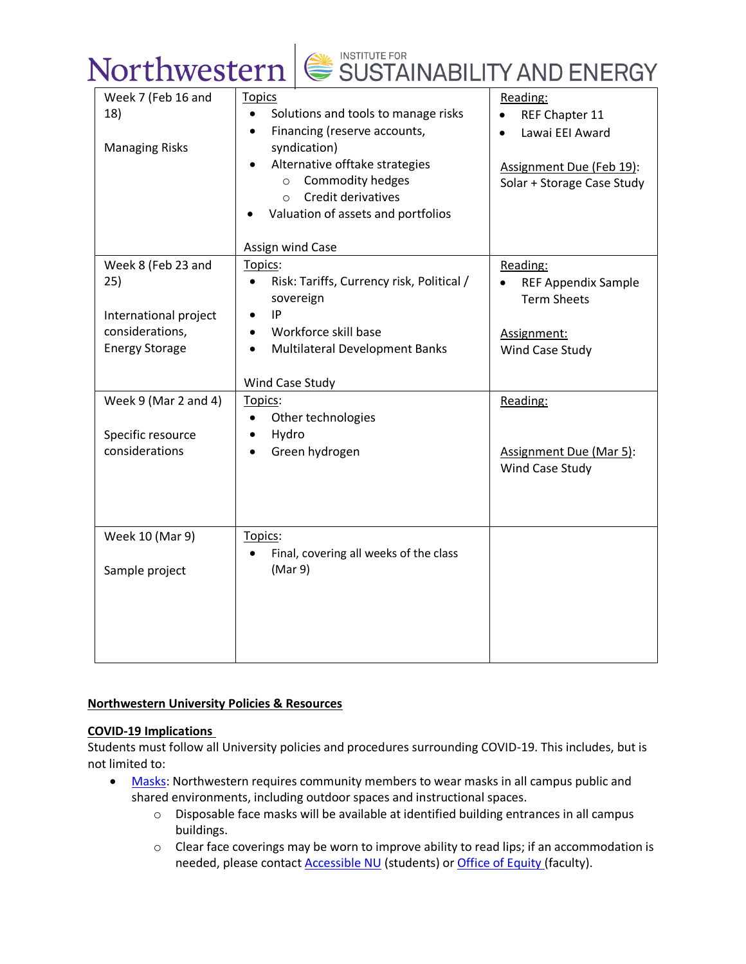| Week 7 (Feb 16 and    | <b>Topics</b>                                          | Reading:                   |
|-----------------------|--------------------------------------------------------|----------------------------|
| 18)                   | Solutions and tools to manage risks<br>$\bullet$       | REF Chapter 11             |
|                       | Financing (reserve accounts,<br>$\bullet$              | Lawai EEI Award            |
| <b>Managing Risks</b> | syndication)                                           |                            |
|                       | Alternative offtake strategies                         | Assignment Due (Feb 19):   |
|                       | Commodity hedges<br>$\circ$                            | Solar + Storage Case Study |
|                       | Credit derivatives<br>$\circ$                          |                            |
|                       | Valuation of assets and portfolios                     |                            |
|                       |                                                        |                            |
|                       | Assign wind Case                                       |                            |
| Week 8 (Feb 23 and    | Topics:                                                | Reading:                   |
| 25)                   | Risk: Tariffs, Currency risk, Political /<br>$\bullet$ | <b>REF Appendix Sample</b> |
|                       | sovereign                                              | <b>Term Sheets</b>         |
| International project | IP                                                     |                            |
| considerations,       | Workforce skill base<br>$\bullet$                      | Assignment:                |
| <b>Energy Storage</b> | <b>Multilateral Development Banks</b><br>$\bullet$     | Wind Case Study            |
|                       |                                                        |                            |
|                       | Wind Case Study                                        |                            |
| Week 9 (Mar 2 and 4)  | Topics:                                                | Reading:                   |
|                       | Other technologies<br>$\bullet$                        |                            |
| Specific resource     | Hydro<br>$\bullet$                                     |                            |
| considerations        | Green hydrogen<br>$\bullet$                            | Assignment Due (Mar 5):    |
|                       |                                                        | Wind Case Study            |
|                       |                                                        |                            |
|                       |                                                        |                            |
|                       |                                                        |                            |
| Week 10 (Mar 9)       | Topics:                                                |                            |
|                       | Final, covering all weeks of the class                 |                            |
| Sample project        | (Mar 9)                                                |                            |
|                       |                                                        |                            |
|                       |                                                        |                            |
|                       |                                                        |                            |
|                       |                                                        |                            |
|                       |                                                        |                            |

## **Northwestern University Policies & Resources**

## **COVID-19 Implications**

Students must follow all University policies and procedures surrounding COVID-19. This includes, but is not limited to:

- [Masks:](https://www.northwestern.edu/coronavirus-covid-19-updates/academics/instructional-spaces/behaviors-expectations/covid-19-guidelines.html#masks) Northwestern requires community members to wear masks in all campus public and shared environments, including outdoor spaces and instructional spaces.
	- o Disposable face masks will be available at identified building entrances in all campus buildings.
	- o Clear face coverings may be worn to improve ability to read lips; if an accommodation is needed, please contact **[Accessible NU](https://www.northwestern.edu/accessiblenu/)** (students) or **[Office of Equity](https://www.northwestern.edu/equity/)** (faculty).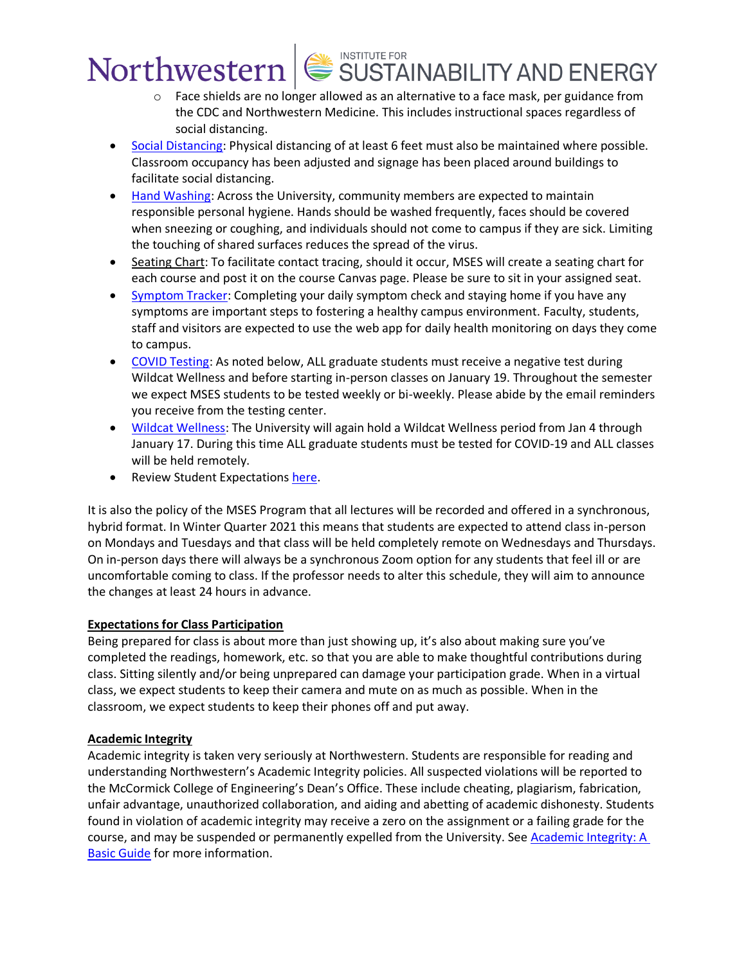- $\circ$  Face shields are no longer allowed as an alternative to a face mask, per guidance from the CDC and Northwestern Medicine. This includes instructional spaces regardless of social distancing.
- [Social Distancing:](https://www.northwestern.edu/coronavirus-covid-19-updates/academics/instructional-spaces/behaviors-expectations/covid-19-guidelines.html#physical) Physical distancing of at least 6 feet must also be maintained where possible. Classroom occupancy has been adjusted and signage has been placed around buildings to facilitate social distancing.
- [Hand Washing:](https://www.northwestern.edu/coronavirus-covid-19-updates/university-status/expectations/guidelines/cleaning-disinfecting-hygiene/index.html) Across the University, community members are expected to maintain responsible personal hygiene. Hands should be washed frequently, faces should be covered when sneezing or coughing, and individuals should not come to campus if they are sick. Limiting the touching of shared surfaces reduces the spread of the virus.
- Seating Chart: To facilitate contact tracing, should it occur, MSES will create a seating chart for each course and post it on the course Canvas page. Please be sure to sit in your assigned seat.
- [Symptom Tracker:](https://www.northwestern.edu/coronavirus-covid-19-updates/health/health-monitoring/symptom-tracker/index.html) Completing your daily symptom check and staying home if you have any symptoms are important steps to fostering a healthy campus environment. Faculty, students, staff and visitors are expected to use the web app for daily health monitoring on days they come to campus.
- [COVID Testing:](https://www.northwestern.edu/coronavirus-covid-19-updates/health/testing/graduate-professional-students.html) As noted below, ALL graduate students must receive a negative test during Wildcat Wellness and before starting in-person classes on January 19. Throughout the semester we expect MSES students to be tested weekly or bi-weekly. Please abide by the email reminders you receive from the testing center.
- [Wildcat Wellness:](https://www.northwestern.edu/coronavirus-covid-19-updates/health/wildcat-wellness/index.html) The University will again hold a Wildcat Wellness period from Jan 4 through January 17. During this time ALL graduate students must be tested for COVID-19 and ALL classes will be held remotely.
- Review Student Expectations [here.](https://www.northwestern.edu/coronavirus-covid-19-updates/academics/instructional-spaces/behaviors-expectations/new-responsibilities.html#student)

It is also the policy of the MSES Program that all lectures will be recorded and offered in a synchronous, hybrid format. In Winter Quarter 2021 this means that students are expected to attend class in-person on Mondays and Tuesdays and that class will be held completely remote on Wednesdays and Thursdays. On in-person days there will always be a synchronous Zoom option for any students that feel ill or are uncomfortable coming to class. If the professor needs to alter this schedule, they will aim to announce the changes at least 24 hours in advance.

## **Expectations for Class Participation**

Being prepared for class is about more than just showing up, it's also about making sure you've completed the readings, homework, etc. so that you are able to make thoughtful contributions during class. Sitting silently and/or being unprepared can damage your participation grade. When in a virtual class, we expect students to keep their camera and mute on as much as possible. When in the classroom, we expect students to keep their phones off and put away.

## **Academic Integrity**

Academic integrity is taken very seriously at Northwestern. Students are responsible for reading and understanding Northwestern's Academic Integrity policies. All suspected violations will be reported to the McCormick College of Engineering's Dean's Office. These include cheating, plagiarism, fabrication, unfair advantage, unauthorized collaboration, and aiding and abetting of academic dishonesty. Students found in violation of academic integrity may receive a zero on the assignment or a failing grade for the course, and may be suspended or permanently expelled from the University. See Academic Integrity: A [Basic Guide](https://www.northwestern.edu/provost/policies/academic-integrity/Academic-Integrity-Guide-August-2019.pdf) for more information.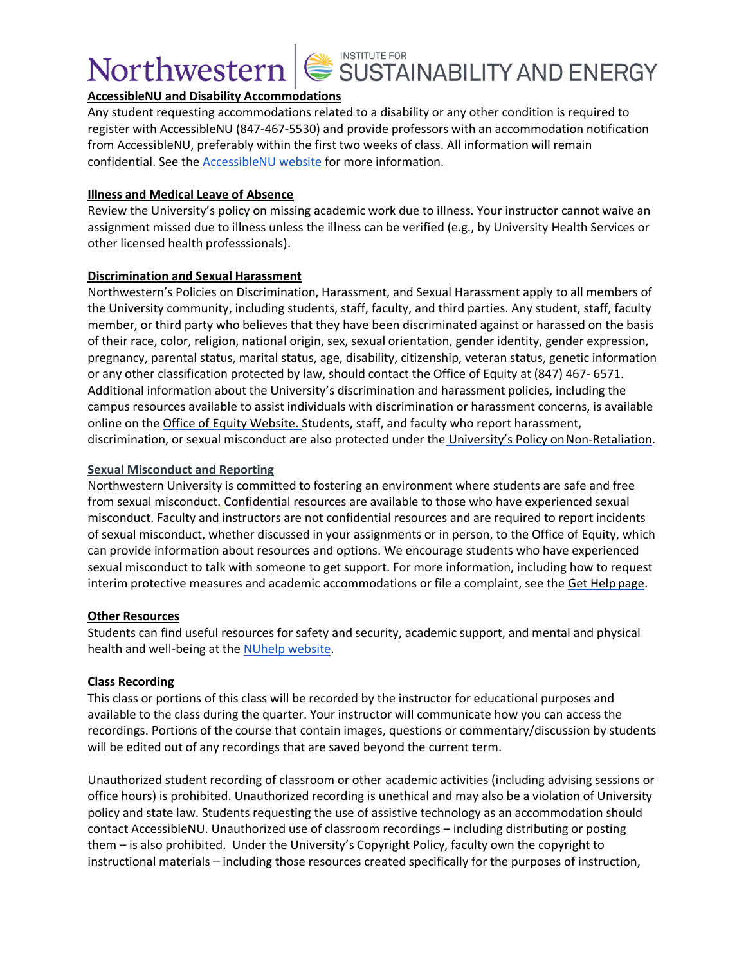

## **AccessibleNU and Disability Accommodations**

Any student requesting accommodations related to a disability or any other condition is required to register with AccessibleNU (847-467-5530) and provide professors with an accommodation notification from AccessibleNU, preferably within the first two weeks of class. All information will remain confidential. See the [AccessibleNU website](https://www.northwestern.edu/accessiblenu/) for more information.

### **Illness and Medical Leave of Absence**

Review the University's [policy](https://www.northwestern.edu/healthservice-evanston/policies/academic-work-missed-for-medical-reasons/index.html) on missing academic work due to illness. Your instructor cannot waive an assignment missed due to illness unless the illness can be verified (e.g., by University Health Services or other licensed health professsionals).

### **Discrimination and Sexual Harassment**

Northwestern's Policies on Discrimination, Harassment, and Sexual Harassment apply to all members of the University community, including students, staff, faculty, and third parties. Any student, staff, faculty member, or third party who believes that they have been discriminated against or harassed on the basis of their race, color, religion, national origin, sex, sexual orientation, gender identity, gender expression, pregnancy, parental status, marital status, age, disability, citizenship, veteran status, genetic information or any other classification protected by law, should contact the Office of Equity at (847) 467- 6571. Additional information about the University's discrimination and harassment policies, including the campus resources available to assist individuals with discrimination or harassment concerns, is available online on the [Office of Equity Website.](https://www.northwestern.edu/equity/) Students, staff, and faculty who report harassment, discrimination, or sexual misconduct are also protected under the [University's Policy on](https://policies.northwestern.edu/docs/non-retaliation-policy-FINAL.pdf) Non-Retaliation.

### **Sexual Misconduct and Reporting**

Northwestern University is committed to fostering an environment where students are safe and free from sexual misconduct. [Confidential resources a](https://www.northwestern.edu/sexual-misconduct/get-help/confidential-support.html)re available to those who have experienced sexual misconduct. Faculty and instructors are not confidential resources and are required to report incidents of sexual misconduct, whether discussed in your assignments or in person, to the Office of Equity, which can provide information about resources and options. We encourage students who have experienced sexual misconduct to talk with someone to get support. For more information, including how to request interim protective measures and academic accommodations or file a complaint, see the [Get Help](https://www.northwestern.edu/sexual-misconduct/get-help/index.html) page.

### **Other Resources**

Students can find useful resources for safety and security, academic support, and mental and physical health and well-being at the [NUhelp website.](https://www.northwestern.edu/nuhelp/)

## **Class Recording**

This class or portions of this class will be recorded by the instructor for educational purposes and available to the class during the quarter. Your instructor will communicate how you can access the recordings. Portions of the course that contain images, questions or commentary/discussion by students will be edited out of any recordings that are saved beyond the current term.

Unauthorized student recording of classroom or other academic activities (including advising sessions or office hours) is prohibited. Unauthorized recording is unethical and may also be a violation of University policy and state law. Students requesting the use of assistive technology as an accommodation should contact AccessibleNU. Unauthorized use of classroom recordings – including distributing or posting them – is also prohibited. Under the University's Copyright Policy, faculty own the copyright to instructional materials – including those resources created specifically for the purposes of instruction,